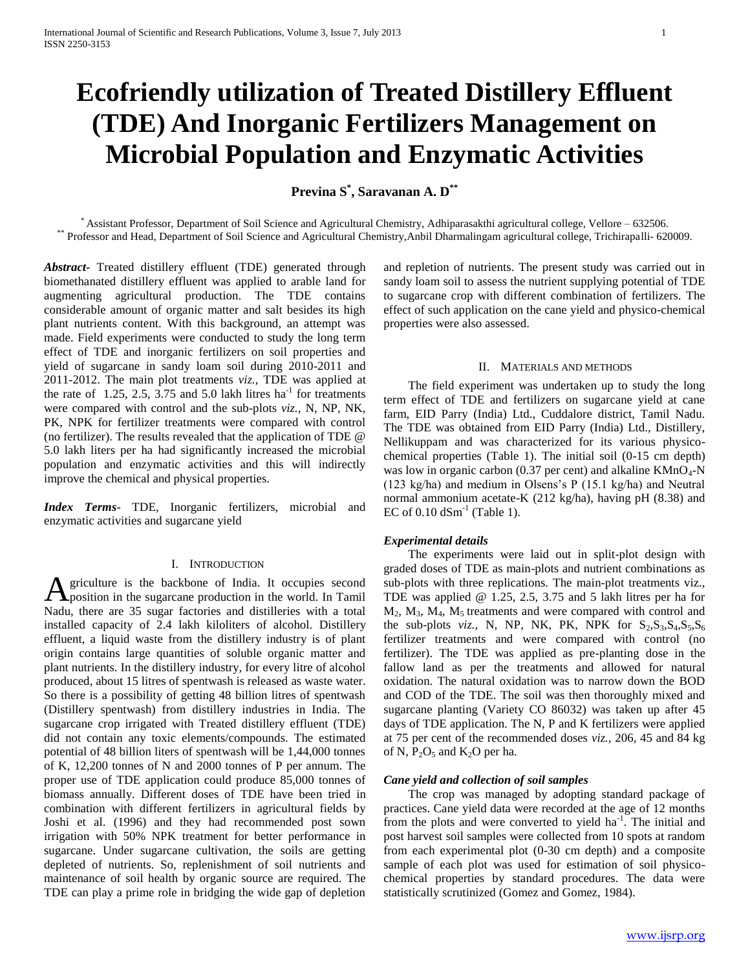# **Ecofriendly utilization of Treated Distillery Effluent (TDE) And Inorganic Fertilizers Management on Microbial Population and Enzymatic Activities**

**Previna S\* , Saravanan A. D\*\***

\* Assistant Professor, Department of Soil Science and Agricultural Chemistry, Adhiparasakthi agricultural college, Vellore – 632506. \*\* Professor and Head, Department of Soil Science and Agricultural Chemistry,Anbil Dharmalingam agricultural college, Trichirapalli- 620009.

*Abstract***-** Treated distillery effluent (TDE) generated through biomethanated distillery effluent was applied to arable land for augmenting agricultural production. The TDE contains considerable amount of organic matter and salt besides its high plant nutrients content. With this background, an attempt was made. Field experiments were conducted to study the long term effect of TDE and inorganic fertilizers on soil properties and yield of sugarcane in sandy loam soil during 2010-2011 and 2011-2012. The main plot treatments *viz.,* TDE was applied at the rate of  $1.25$ ,  $2.5$ ,  $3.75$  and  $5.0$  lakh litres ha<sup>-1</sup> for treatments were compared with control and the sub-plots *viz.,* N, NP, NK, PK, NPK for fertilizer treatments were compared with control (no fertilizer). The results revealed that the application of TDE @ 5.0 lakh liters per ha had significantly increased the microbial population and enzymatic activities and this will indirectly improve the chemical and physical properties.

*Index Terms*- TDE, Inorganic fertilizers, microbial and enzymatic activities and sugarcane yield

#### I. INTRODUCTION

griculture is the backbone of India. It occupies second A griculture is the backbone of India. It occupies second<br>position in the sugarcane production in the world. In Tamil Nadu, there are 35 sugar factories and distilleries with a total installed capacity of 2.4 lakh kiloliters of alcohol. Distillery effluent, a liquid waste from the distillery industry is of plant origin contains large quantities of soluble organic matter and plant nutrients. In the distillery industry, for every litre of alcohol produced, about 15 litres of spentwash is released as waste water. So there is a possibility of getting 48 billion litres of spentwash (Distillery spentwash) from distillery industries in India. The sugarcane crop irrigated with Treated distillery effluent (TDE) did not contain any toxic elements/compounds. The estimated potential of 48 billion liters of spentwash will be 1,44,000 tonnes of K, 12,200 tonnes of N and 2000 tonnes of P per annum. The proper use of TDE application could produce 85,000 tonnes of biomass annually. Different doses of TDE have been tried in combination with different fertilizers in agricultural fields by Joshi et al. (1996) and they had recommended post sown irrigation with 50% NPK treatment for better performance in sugarcane. Under sugarcane cultivation, the soils are getting depleted of nutrients. So, replenishment of soil nutrients and maintenance of soil health by organic source are required. The TDE can play a prime role in bridging the wide gap of depletion

and repletion of nutrients. The present study was carried out in sandy loam soil to assess the nutrient supplying potential of TDE to sugarcane crop with different combination of fertilizers. The effect of such application on the cane yield and physico-chemical properties were also assessed.

#### II. MATERIALS AND METHODS

 The field experiment was undertaken up to study the long term effect of TDE and fertilizers on sugarcane yield at cane farm, EID Parry (India) Ltd., Cuddalore district, Tamil Nadu. The TDE was obtained from EID Parry (India) Ltd., Distillery, Nellikuppam and was characterized for its various physicochemical properties (Table 1). The initial soil (0-15 cm depth) was low in organic carbon (0.37 per cent) and alkaline  $KMnO<sub>4</sub>-N$ (123 kg/ha) and medium in Olsens's P (15.1 kg/ha) and Neutral normal ammonium acetate-K (212 kg/ha), having pH (8.38) and EC of  $0.10$  dSm<sup>-1</sup> (Table 1).

## *Experimental details*

 The experiments were laid out in split-plot design with graded doses of TDE as main-plots and nutrient combinations as sub-plots with three replications. The main-plot treatments viz., TDE was applied @ 1.25, 2.5, 3.75 and 5 lakh litres per ha for  $M_2$ ,  $M_3$ ,  $M_4$ ,  $M_5$  treatments and were compared with control and the sub-plots *viz.*, N, NP, NK, PK, NPK for  $S_2$ , $S_3$ , $S_4$ , $S_5$ , $S_6$ fertilizer treatments and were compared with control (no fertilizer). The TDE was applied as pre-planting dose in the fallow land as per the treatments and allowed for natural oxidation. The natural oxidation was to narrow down the BOD and COD of the TDE. The soil was then thoroughly mixed and sugarcane planting (Variety CO 86032) was taken up after 45 days of TDE application. The N, P and K fertilizers were applied at 75 per cent of the recommended doses *viz.,* 206, 45 and 84 kg of N,  $P_2O_5$  and K<sub>2</sub>O per ha.

#### *Cane yield and collection of soil samples*

 The crop was managed by adopting standard package of practices. Cane yield data were recorded at the age of 12 months from the plots and were converted to yield ha<sup>-1</sup>. The initial and post harvest soil samples were collected from 10 spots at random from each experimental plot (0-30 cm depth) and a composite sample of each plot was used for estimation of soil physicochemical properties by standard procedures. The data were statistically scrutinized (Gomez and Gomez, 1984).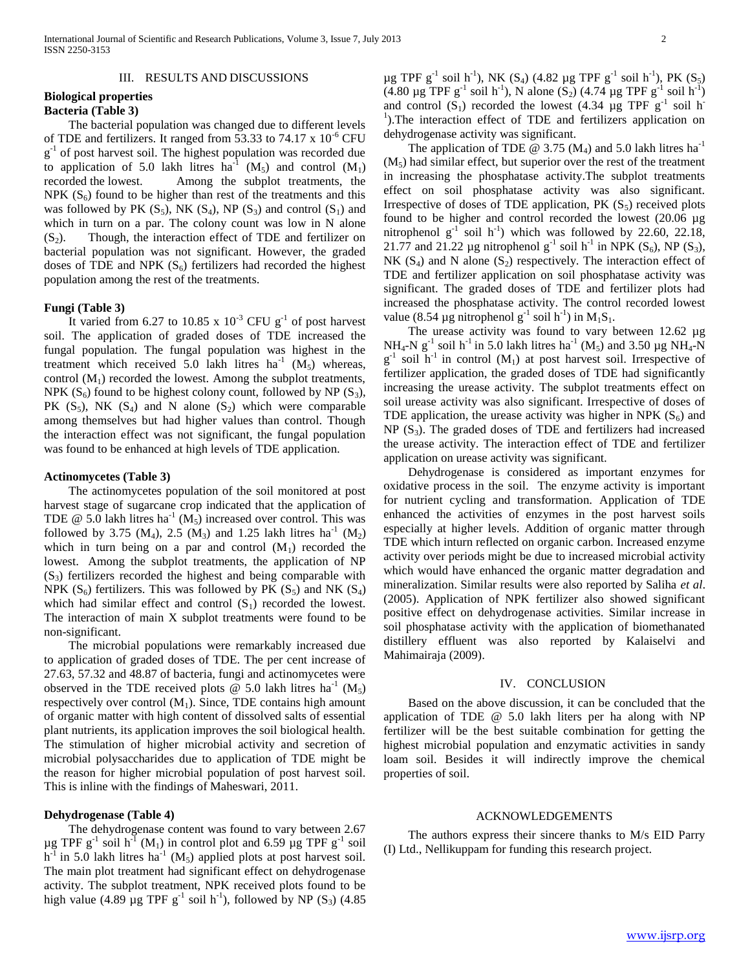## III. RESULTS AND DISCUSSIONS

## **Biological properties Bacteria (Table 3)**

 The bacterial population was changed due to different levels of TDE and fertilizers. It ranged from 53.33 to 74.17 x 10<sup>-6</sup> CFU g<sup>-1</sup> of post harvest soil. The highest population was recorded due to application of 5.0 lakh litres ha<sup>-1</sup> (M<sub>5</sub>) and control (M<sub>1</sub>) recorded the lowest. Among the subplot treatments, the NPK  $(S_6)$  found to be higher than rest of the treatments and this was followed by PK  $(S_5)$ , NK  $(S_4)$ , NP  $(S_3)$  and control  $(S_1)$  and which in turn on a par. The colony count was low in N alone  $(S<sub>2</sub>)$ . Though, the interaction effect of TDE and fertilizer on bacterial population was not significant. However, the graded doses of TDE and NPK  $(S_6)$  fertilizers had recorded the highest population among the rest of the treatments.

### **Fungi (Table 3)**

It varied from 6.27 to 10.85 x  $10^{-3}$  CFU g<sup>-1</sup> of post harvest soil. The application of graded doses of TDE increased the fungal population. The fungal population was highest in the treatment which received 5.0 lakh litres  $ha^{-1}$  ( $M_5$ ) whereas, control  $(M_1)$  recorded the lowest. Among the subplot treatments, NPK  $(S_6)$  found to be highest colony count, followed by NP  $(S_3)$ , PK  $(S_5)$ , NK  $(S_4)$  and N alone  $(S_2)$  which were comparable among themselves but had higher values than control. Though the interaction effect was not significant, the fungal population was found to be enhanced at high levels of TDE application.

#### **Actinomycetes (Table 3)**

 The actinomycetes population of the soil monitored at post harvest stage of sugarcane crop indicated that the application of TDE  $\omega$  5.0 lakh litres ha<sup>-1</sup> (M<sub>5</sub>) increased over control. This was followed by 3.75 (M<sub>4</sub>), 2.5 (M<sub>3</sub>) and 1.25 lakh litres ha<sup>-1</sup> (M<sub>2</sub>) which in turn being on a par and control  $(M_1)$  recorded the lowest. Among the subplot treatments, the application of NP  $(S<sub>3</sub>)$  fertilizers recorded the highest and being comparable with NPK  $(S_6)$  fertilizers. This was followed by PK  $(S_5)$  and NK  $(S_4)$ which had similar effect and control  $(S_1)$  recorded the lowest. The interaction of main X subplot treatments were found to be non-significant.

 The microbial populations were remarkably increased due to application of graded doses of TDE. The per cent increase of 27.63, 57.32 and 48.87 of bacteria, fungi and actinomycetes were observed in the TDE received plots  $\ddot{\text{ }}$  (0 5.0 lakh litres ha<sup>-1</sup> (M<sub>5</sub>) respectively over control  $(M_1)$ . Since, TDE contains high amount of organic matter with high content of dissolved salts of essential plant nutrients, its application improves the soil biological health. The stimulation of higher microbial activity and secretion of microbial polysaccharides due to application of TDE might be the reason for higher microbial population of post harvest soil. This is inline with the findings of Maheswari, 2011.

## **Dehydrogenase (Table 4)**

 The dehydrogenase content was found to vary between 2.67  $\mu$ g TPF g<sup>-1</sup> soil h<sup>-1</sup> (M<sub>1</sub>) in control plot and 6.59  $\mu$ g TPF g<sup>-1</sup> soil  $h^{-1}$  in 5.0 lakh litres  $ha^{-1}$  (M<sub>5</sub>) applied plots at post harvest soil. The main plot treatment had significant effect on dehydrogenase activity. The subplot treatment, NPK received plots found to be high value (4.89  $\mu$ g TPF g<sup>-1</sup> soil h<sup>-1</sup>), followed by NP (S<sub>3</sub>) (4.85

 $\mu$ g TPF g<sup>-1</sup> soil h<sup>-1</sup>), NK (S<sub>4</sub>) (4.82  $\mu$ g TPF g<sup>-1</sup> soil h<sup>-1</sup>), PK (S<sub>5</sub>)  $(4.80 \mu g \text{ TPF } g^{-1} \text{ soil } h^{-1})$ , N alone  $(S_2)$   $(4.74 \mu g \text{ TPF } g^{-1} \text{ soil } h^{-1})$ and control  $(S_1)$  recorded the lowest (4.34 µg TPF  $g^{-1}$  soil h <sup>1</sup>).The interaction effect of TDE and fertilizers application on dehydrogenase activity was significant.

The application of TDE @ 3.75 (M<sub>4</sub>) and 5.0 lakh litres ha<sup>-1</sup>  $(M<sub>5</sub>)$  had similar effect, but superior over the rest of the treatment in increasing the phosphatase activity.The subplot treatments effect on soil phosphatase activity was also significant. Irrespective of doses of TDE application, PK  $(S_5)$  received plots found to be higher and control recorded the lowest (20.06 µg nitrophenol  $g^{-1}$  soil h<sup>-1</sup>) which was followed by 22.60, 22.18, 21.77 and 21.22 µg nitrophenol  $g^{-1}$  soil h<sup>-1</sup> in NPK (S<sub>6</sub>), NP (S<sub>3</sub>), NK  $(S_4)$  and N alone  $(S_2)$  respectively. The interaction effect of TDE and fertilizer application on soil phosphatase activity was significant. The graded doses of TDE and fertilizer plots had increased the phosphatase activity. The control recorded lowest value (8.54 µg nitrophenol g<sup>-1</sup> soil h<sup>-1</sup>) in  $M_1S_1$ .

The urease activity was found to vary between 12.62 µg NH<sub>4</sub>-N g<sup>-1</sup> soil h<sup>-1</sup> in 5.0 lakh litres ha<sup>-1</sup> (M<sub>5</sub>) and 3.50 µg NH<sub>4</sub>-N  $g^{-1}$  soil h<sup>-1</sup> in control (M<sub>1</sub>) at post harvest soil. Irrespective of fertilizer application, the graded doses of TDE had significantly increasing the urease activity. The subplot treatments effect on soil urease activity was also significant. Irrespective of doses of TDE application, the urease activity was higher in NPK  $(S_6)$  and  $NP(S<sub>3</sub>)$ . The graded doses of TDE and fertilizers had increased the urease activity. The interaction effect of TDE and fertilizer application on urease activity was significant.

 Dehydrogenase is considered as important enzymes for oxidative process in the soil. The enzyme activity is important for nutrient cycling and transformation. Application of TDE enhanced the activities of enzymes in the post harvest soils especially at higher levels. Addition of organic matter through TDE which inturn reflected on organic carbon. Increased enzyme activity over periods might be due to increased microbial activity which would have enhanced the organic matter degradation and mineralization. Similar results were also reported by Saliha *et al*. (2005). Application of NPK fertilizer also showed significant positive effect on dehydrogenase activities. Similar increase in soil phosphatase activity with the application of biomethanated distillery effluent was also reported by Kalaiselvi and Mahimairaja (2009).

#### IV. CONCLUSION

 Based on the above discussion, it can be concluded that the application of TDE @ 5.0 lakh liters per ha along with NP fertilizer will be the best suitable combination for getting the highest microbial population and enzymatic activities in sandy loam soil. Besides it will indirectly improve the chemical properties of soil.

#### ACKNOWLEDGEMENTS

 The authors express their sincere thanks to M/s EID Parry (I) Ltd., Nellikuppam for funding this research project.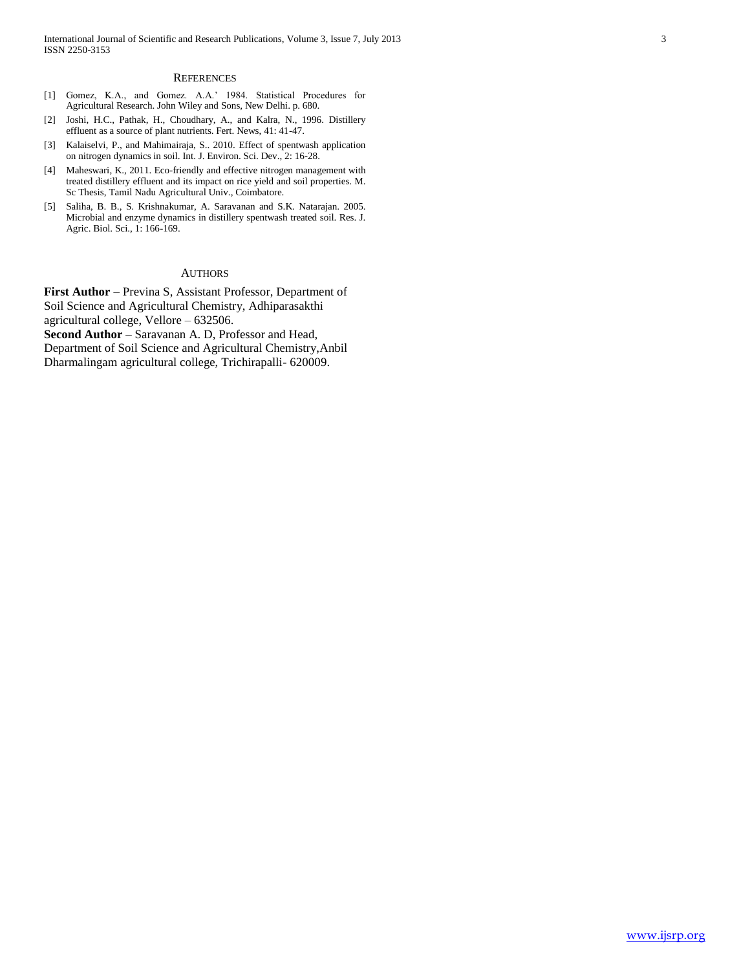#### **REFERENCES**

- [1] Gomez, K.A., and Gomez. A.A.' 1984. Statistical Procedures for Agricultural Research. John Wiley and Sons, New Delhi. p. 680.
- [2] Joshi, H.C., Pathak, H., Choudhary, A., and Kalra, N., 1996. Distillery effluent as a source of plant nutrients. Fert. News, 41: 41-47.
- [3] Kalaiselvi, P., and Mahimairaja, S.. 2010. Effect of spentwash application on nitrogen dynamics in soil. Int. J. Environ. Sci. Dev., 2: 16-28.
- [4] Maheswari, K., 2011. Eco-friendly and effective nitrogen management with treated distillery effluent and its impact on rice yield and soil properties. M. Sc Thesis, Tamil Nadu Agricultural Univ., Coimbatore.
- [5] Saliha, B. B., S. Krishnakumar, A. Saravanan and S.K. Natarajan. 2005. Microbial and enzyme dynamics in distillery spentwash treated soil. Res. J. Agric. Biol. Sci., 1: 166-169.

#### AUTHORS

**First Author** – Previna S, Assistant Professor, Department of Soil Science and Agricultural Chemistry, Adhiparasakthi agricultural college, Vellore – 632506. **Second Author** – Saravanan A. D, Professor and Head, Department of Soil Science and Agricultural Chemistry,Anbil Dharmalingam agricultural college, Trichirapalli- 620009.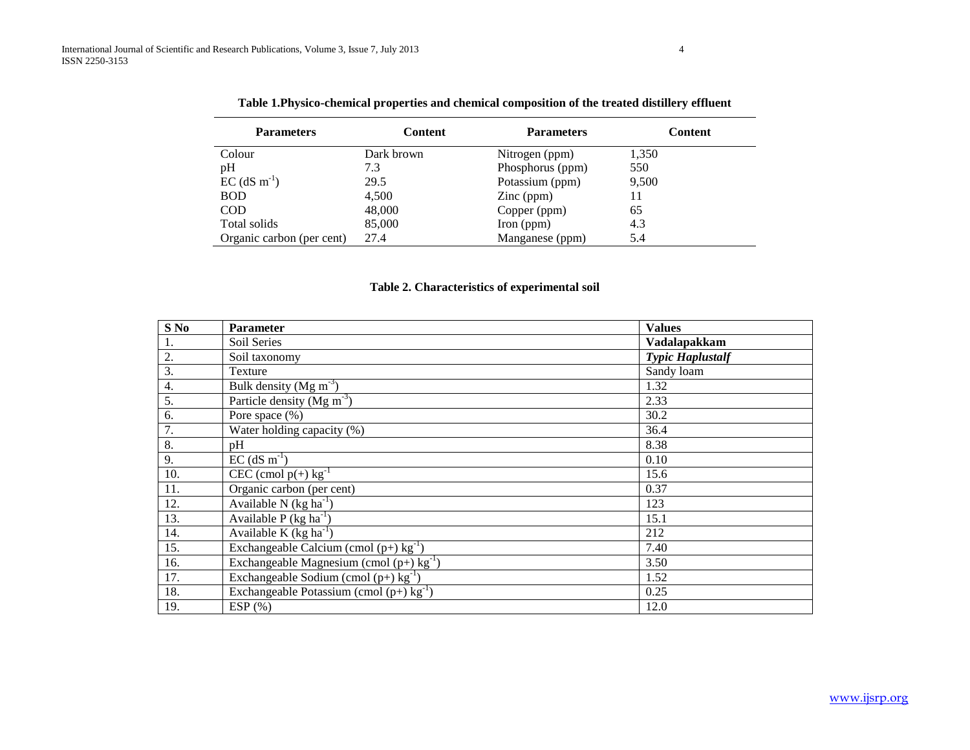| <b>Parameters</b>          | <b>Content</b> | <b>Parameters</b>   | <b>Content</b> |  |  |  |  |
|----------------------------|----------------|---------------------|----------------|--|--|--|--|
| Colour                     | Dark brown     | Nitrogen (ppm)      | 1,350          |  |  |  |  |
| pH                         | 7.3            | Phosphorus (ppm)    | 550            |  |  |  |  |
| $EC$ (dS m <sup>-1</sup> ) | 29.5           | Potassium (ppm)     | 9,500          |  |  |  |  |
| <b>BOD</b>                 | 4,500          | $\text{Zinc (ppm)}$ | 11             |  |  |  |  |
| <b>COD</b>                 | 48,000         | Copper (ppm)        | 65             |  |  |  |  |
| Total solids               | 85,000         | Iron (ppm)          | 4.3            |  |  |  |  |
| Organic carbon (per cent)  | 27.4           | Manganese (ppm)     | 5.4            |  |  |  |  |

**Table 1.Physico-chemical properties and chemical composition of the treated distillery effluent**

# **Table 2. Characteristics of experimental soil**

| $S$ No | <b>Parameter</b>                                       | <b>Values</b>           |
|--------|--------------------------------------------------------|-------------------------|
|        | Soil Series                                            | Vadalapakkam            |
| 2.     | Soil taxonomy                                          | <b>Typic Haplustalf</b> |
| 3.     | Texture                                                | Sandy loam              |
| 4.     | Bulk density (Mg $m^{-3}$ )                            | 1.32                    |
| 5.     | Particle density (Mg $m^{-3}$ )                        | 2.33                    |
| 6.     | Pore space (%)                                         | 30.2                    |
| 7.     | Water holding capacity $(\%)$                          | 36.4                    |
| 8.     | pH                                                     | 8.38                    |
| 9.     | $EC$ (dS m <sup>-1</sup> )                             | 0.10                    |
| 10.    | CEC (cmol $p(+)$ kg <sup>-1</sup>                      | 15.6                    |
| 11.    | Organic carbon (per cent)                              | 0.37                    |
| 12.    | Available N $(kg ha^{-1})$                             | 123                     |
| 13.    | Available P $(kg ha^{-1})$                             | 15.1                    |
| 14.    | Available K $(kg ha^{-1})$                             | 212                     |
| 15.    | Exchangeable Calcium (cmol $(p+)$ kg <sup>-1</sup> )   | 7.40                    |
| 16.    | Exchangeable Magnesium (cmol $(p+)$ kg <sup>-1</sup> ) | 3.50                    |
| 17.    | Exchangeable Sodium (cmol $(p+)$ kg <sup>-1</sup> )    | 1.52                    |
| 18.    | Exchangeable Potassium (cmol $(p+)$ kg <sup>-1</sup> ) | 0.25                    |
| 19.    | ESP(%)                                                 | 12.0                    |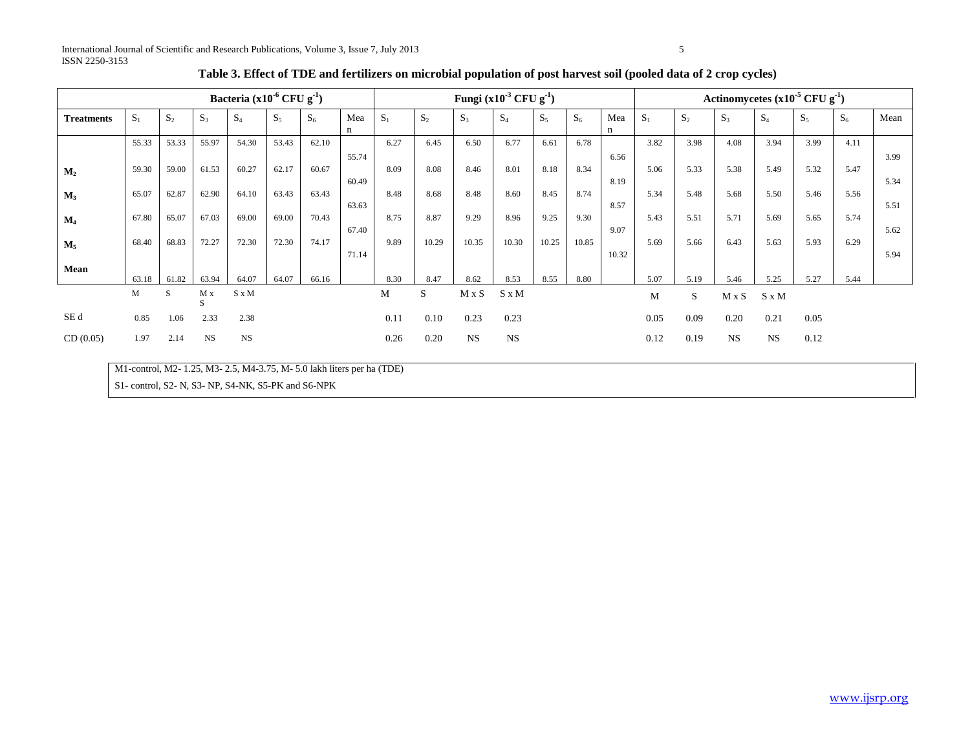| Bacteria $(x10^{-6}$ CFU $g^{-1}$ ) |       |                |           |           |       |                |                | Fungi $(x10^{-3}$ CFU $g^{-1}$ ) |       |                |           |       |                |              |       | Actinomycetes $(x10^{-5} CFU g^{-1})$ |              |                |       |                |              |  |  |
|-------------------------------------|-------|----------------|-----------|-----------|-------|----------------|----------------|----------------------------------|-------|----------------|-----------|-------|----------------|--------------|-------|---------------------------------------|--------------|----------------|-------|----------------|--------------|--|--|
| <b>Treatments</b>                   | $S_1$ | S <sub>2</sub> | $S_3$     | $S_4$     | $S_5$ | S <sub>6</sub> | Mea<br>n       | $S_1$                            | $S_2$ | S <sub>3</sub> | $S_4$     | $S_5$ | S <sub>6</sub> | Mea<br>n     | $S_1$ | S <sub>2</sub>                        | $S_3$        | S <sub>4</sub> | $S_5$ | S <sub>6</sub> | Mean         |  |  |
|                                     | 55.33 | 53.33          | 55.97     | 54.30     | 53.43 | 62.10          |                | 6.27                             | 6.45  | 6.50           | 6.77      | 6.61  | 6.78           |              | 3.82  | 3.98                                  | 4.08         | 3.94           | 3.99  | 4.11           |              |  |  |
| M <sub>2</sub>                      | 59.30 | 59.00          | 61.53     | 60.27     | 62.17 | 60.67          | 55.74<br>60.49 | 8.09                             | 8.08  | 8.46           | 8.01      | 8.18  | 8.34           | 6.56<br>8.19 | 5.06  | 5.33                                  | 5.38         | 5.49           | 5.32  | 5.47           | 3.99<br>5.34 |  |  |
| $M_3$                               | 65.07 | 62.87          | 62.90     | 64.10     | 63.43 | 63.43          |                | 8.48                             | 8.68  | 8.48           | 8.60      | 8.45  | 8.74           |              | 5.34  | 5.48                                  | 5.68         | 5.50           | 5.46  | 5.56           |              |  |  |
| $\mathbf{M}_4$                      | 67.80 | 65.07          | 67.03     | 69.00     | 69.00 | 70.43          | 63.63<br>67.40 | 8.75                             | 8.87  | 9.29           | 8.96      | 9.25  | 9.30           | 8.57<br>9.07 | 5.43  | 5.51                                  | 5.71         | 5.69           | 5.65  | 5.74           | 5.51<br>5.62 |  |  |
| $M_5$                               | 68.40 | 68.83          | 72.27     | 72.30     | 72.30 | 74.17          | 71.14          | 9.89                             | 10.29 | 10.35          | 10.30     | 10.25 | 10.85          | 10.32        | 5.69  | 5.66                                  | 6.43         | 5.63           | 5.93  | 6.29           | 5.94         |  |  |
| Mean                                | 63.18 | 61.82          | 63.94     | 64.07     | 64.07 | 66.16          |                | 8.30                             | 8.47  | 8.62           | 8.53      | 8.55  | 8.80           |              | 5.07  | 5.19                                  | 5.46         | 5.25           | 5.27  | 5.44           |              |  |  |
|                                     | M     | S              | M x<br>S  | S x M     |       |                |                | М                                | S.    | $M \times S$   | S x M     |       |                |              | M     | S                                     | $M \times S$ | $S \times M$   |       |                |              |  |  |
| SE <sub>d</sub>                     | 0.85  | 1.06           | 2.33      | 2.38      |       |                |                | 0.11                             | 0.10  | 0.23           | 0.23      |       |                |              | 0.05  | 0.09                                  | 0.20         | 0.21           | 0.05  |                |              |  |  |
| CD(0.05)                            | 1.97  | 2.14           | <b>NS</b> | <b>NS</b> |       |                |                | 0.26                             | 0.20  | $_{\rm NS}$    | <b>NS</b> |       |                |              | 0.12  | 0.19                                  | <b>NS</b>    | <b>NS</b>      | 0.12  |                |              |  |  |

# **Table 3. Effect of TDE and fertilizers on microbial population of post harvest soil (pooled data of 2 crop cycles)**

M1-control, M2- 1.25, M3- 2.5, M4-3.75, M- 5.0 lakh liters per ha (TDE)

S1- control, S2- N, S3- NP, S4-NK, S5-PK and S6-NPK